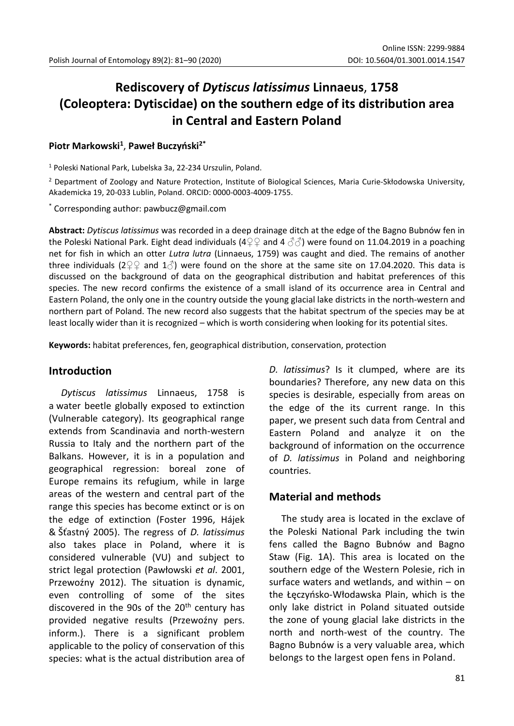# **Rediscovery of** *Dytiscus latissimus* **Linnaeus**, **1758 (Coleoptera: Dytiscidae) on the southern edge of its distribution area in Central and Eastern Poland**

### **Piotr Markowski<sup>1</sup>** , **Paweł Buczyński2\***

<sup>1</sup> Poleski National Park, Lubelska 3a, 22-234 Urszulin, Poland.

<sup>2</sup> Department of Zoology and Nature Protection, Institute of Biological Sciences, Maria Curie-Skłodowska University, Akademicka 19, 20-033 Lublin, Poland. ORCID: 0000-0003-4009-1755.

\* Corresponding author: pawbucz@gmail.com

**Abstract:** *Dytiscus latissimus* was recorded in a deep drainage ditch at the edge of the Bagno Bubnów fen in the Poleski National Park. Eight dead individuals (4♀♀ and 4  $\Im$  $\Im$ ) were found on 11.04.2019 in a poaching net for fish in which an otter *Lutra lutra* (Linnaeus, 1759) was caught and died. The remains of another three individuals (2 $\varphi$  and 1 $\varphi$ ) were found on the shore at the same site on 17.04.2020. This data is discussed on the background of data on the geographical distribution and habitat preferences of this species. The new record confirms the existence of a small island of its occurrence area in Central and Eastern Poland, the only one in the country outside the young glacial lake districts in the north-western and northern part of Poland. The new record also suggests that the habitat spectrum of the species may be at least locally wider than it is recognized – which is worth considering when looking for its potential sites.

**Keywords:** habitat preferences, fen, geographical distribution, conservation, protection

#### **Introduction**

*Dytiscus latissimus* Linnaeus, 1758 is a water beetle globally exposed to extinction (Vulnerable category). Its geographical range extends from Scandinavia and north-western Russia to Italy and the northern part of the Balkans. However, it is in a population and geographical regression: boreal zone of Europe remains its refugium, while in large areas of the western and central part of the range this species has become extinct or is on the edge of extinction (Foster 1996, Hájek & Šťastný 2005). The regress of *D. latissimus* also takes place in Poland, where it is considered vulnerable (VU) and subject to strict legal protection (Pawłowski *et al*. 2001, Przewoźny 2012). The situation is dynamic, even controlling of some of the sites discovered in the 90s of the  $20<sup>th</sup>$  century has provided negative results (Przewoźny pers. inform.). There is a significant problem applicable to the policy of conservation of this species: what is the actual distribution area of *D. latissimus*? Is it clumped, where are its boundaries? Therefore, any new data on this species is desirable, especially from areas on the edge of the its current range. In this paper, we present such data from Central and Eastern Poland and analyze it on the background of information on the occurrence of *D. latissimus* in Poland and neighboring countries.

#### **Material and methods**

The study area is located in the exclave of the Poleski National Park including the twin fens called the Bagno Bubnów and Bagno Staw (Fig. 1A). This area is located on the southern edge of the Western Polesie, rich in surface waters and wetlands, and within – on the Łęczyńsko-Włodawska Plain, which is the only lake district in Poland situated outside the zone of young glacial lake districts in the north and north-west of the country. The Bagno Bubnów is a very valuable area, which belongs to the largest open fens in Poland.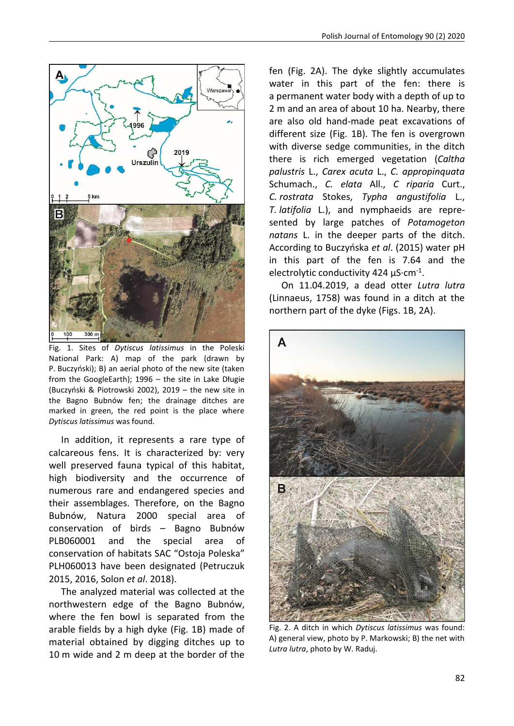

Fig. 1. Sites of *Dytiscus latissimus* in the Poleski National Park: A) map of the park (drawn by P. Buczyński); B) an aerial photo of the new site (taken from the GoogleEarth); 1996 – the site in Lake Długie (Buczyński & Piotrowski 2002), 2019 – the new site in the Bagno Bubnów fen; the drainage ditches are marked in green, the red point is the place where *Dytiscus latissimus* was found.

In addition, it represents a rare type of calcareous fens. It is characterized by: very well preserved fauna typical of this habitat, high biodiversity and the occurrence of numerous rare and endangered species and their assemblages. Therefore, on the Bagno Bubnów, Natura 2000 special area of conservation of birds – Bagno Bubnów PLB060001 and the special area of conservation of habitats SAC "Ostoja Poleska" PLH060013 have been designated (Petruczuk 2015, 2016, Solon *et al*. 2018).

The analyzed material was collected at the northwestern edge of the Bagno Bubnów, where the fen bowl is separated from the arable fields by a high dyke (Fig. 1B) made of material obtained by digging ditches up to 10 m wide and 2 m deep at the border of the fen (Fig. 2A). The dyke slightly accumulates water in this part of the fen: there is a permanent water body with a depth of up to 2 m and an area of about 10 ha. Nearby, there are also old hand-made peat excavations of different size (Fig. 1B). The fen is overgrown with diverse sedge communities, in the ditch there is rich emerged vegetation (*Caltha palustris* L., *Carex acuta* L., *C. appropinquata* Schumach., *C. elata* All., *C riparia* Curt., *C. rostrata* Stokes, *Typha angustifolia* L., *T. latifolia* L.), and nymphaeids are represented by large patches of *Potamogeton natans* L. in the deeper parts of the ditch. According to Buczyńska *et al*. (2015) water pH in this part of the fen is 7.64 and the electrolytic conductivity 424 μS·cm<sup>-1</sup>.

On 11.04.2019, a dead otter *Lutra lutra* (Linnaeus, 1758) was found in a ditch at the northern part of the dyke (Figs. 1B, 2A).



Fig. 2. A ditch in which *Dytiscus latissimus* was found: A) general view, photo by P. Markowski; B) the net with *Lutra lutra*, photo by W. Raduj.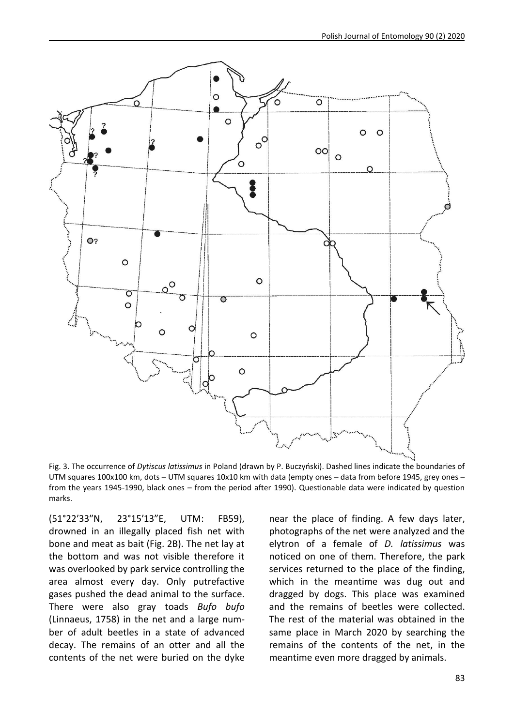

Fig. 3. The occurrence of *Dytiscus latissimus* in Poland (drawn by P. Buczyński). Dashed lines indicate the boundaries of UTM squares 100x100 km, dots – UTM squares 10x10 km with data (empty ones – data from before 1945, grey ones – from the years 1945-1990, black ones – from the period after 1990). Questionable data were indicated by question marks.

(51°22′33″N, 23°15′13"E, UTM: FB59), drowned in an illegally placed fish net with bone and meat as bait (Fig. 2B). The net lay at the bottom and was not visible therefore it was overlooked by park service controlling the area almost every day. Only putrefactive gases pushed the dead animal to the surface. There were also gray toads *Bufo bufo* (Linnaeus, 1758) in the net and a large number of adult beetles in a state of advanced decay. The remains of an otter and all the contents of the net were buried on the dyke near the place of finding. A few days later, photographs of the net were analyzed and the elytron of a female of *D. latissimus* was noticed on one of them. Therefore, the park services returned to the place of the finding, which in the meantime was dug out and dragged by dogs. This place was examined and the remains of beetles were collected. The rest of the material was obtained in the same place in March 2020 by searching the remains of the contents of the net, in the meantime even more dragged by animals.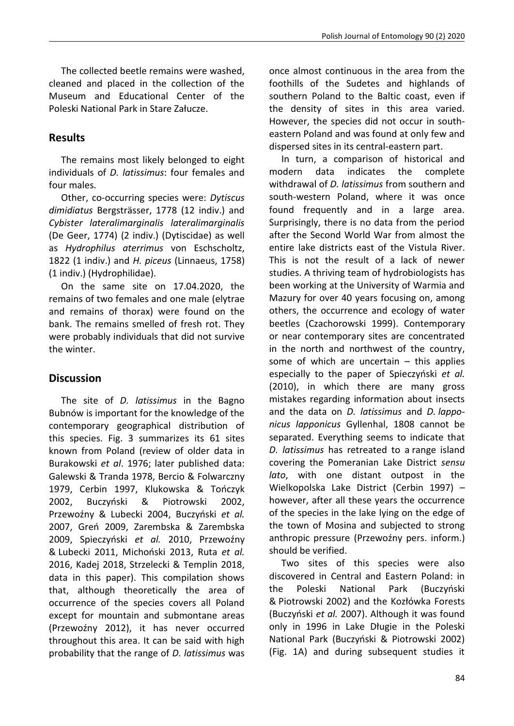The collected beetle remains were washed, cleaned and placed in the collection of the Museum and Educational Center of the Poleski National Park in Stare Załucze.

# **Results**

The remains most likely belonged to eight individuals of *D. latissimus*: four females and four males.

Other, co-occurring species were: *Dytiscus dimidiatus* Bergsträsser, 1778 (12 indiv.) and *Cybister lateralimarginalis lateralimarginalis*  (De Geer, 1774) (2 indiv.) (Dytiscidae) as well as *Hydrophilus aterrimus* von Eschscholtz, 1822 (1 indiv.) and *H. piceus* (Linnaeus, 1758) (1 indiv.) (Hydrophilidae).

On the same site on 17.04.2020, the remains of two females and one male (elytrae and remains of thorax) were found on the bank. The remains smelled of fresh rot. They were probably individuals that did not survive the winter.

## **Discussion**

The site of *D. latissimus* in the Bagno Bubnów is important for the knowledge of the contemporary geographical distribution of this species. Fig. 3 summarizes its 61 sites known from Poland (review of older data in Burakowski *et al*. 1976; later published data: Galewski & Tranda 1978, Bercio & Folwarczny 1979, Cerbin 1997, Klukowska & Tończyk 2002, Buczyński & Piotrowski 2002, Przewoźny & Lubecki 2004, Buczyński *et al.* 2007, Greń 2009, Zarembska & Zarembska 2009, Spieczyński *et al.* 2010, Przewoźny & Lubecki 2011, Michoński 2013, Ruta *et al.*  2016, Kadej 2018, Strzelecki & Templin 2018, data in this paper). This compilation shows that, although theoretically the area of occurrence of the species covers all Poland except for mountain and submontane areas (Przewoźny 2012), it has never occurred throughout this area. It can be said with high probability that the range of *D. latissimus* was once almost continuous in the area from the foothills of the Sudetes and highlands of southern Poland to the Baltic coast, even if the density of sites in this area varied. However, the species did not occur in southeastern Poland and was found at only few and dispersed sites in its central-eastern part.

In turn, a comparison of historical and modern data indicates the complete withdrawal of *D. latissimus* from southern and south-western Poland, where it was once found frequently and in a large area. Surprisingly, there is no data from the period after the Second World War from almost the entire lake districts east of the Vistula River. This is not the result of a lack of newer studies. A thriving team of hydrobiologists has been working at the University of Warmia and Mazury for over 40 years focusing on, among others, the occurrence and ecology of water beetles (Czachorowski 1999). Contemporary or near contemporary sites are concentrated in the north and northwest of the country, some of which are uncertain  $-$  this applies especially to the paper of Spieczyński *et al.* (2010), in which there are many gross mistakes regarding information about insects and the data on *D. latissimus* and *D. lapponicus lapponicus* Gyllenhal, 1808 cannot be separated. Everything seems to indicate that *D. latissimus* has retreated to a range island covering the Pomeranian Lake District *sensu lato*, with one distant outpost in the Wielkopolska Lake District (Cerbin 1997) – however, after all these years the occurrence of the species in the lake lying on the edge of the town of Mosina and subjected to strong anthropic pressure (Przewoźny pers. inform.) should be verified.

Two sites of this species were also discovered in Central and Eastern Poland: in the Poleski National Park (Buczyński & Piotrowski 2002) and the Kozłówka Forests (Buczyński *et al.* 2007). Although it was found only in 1996 in Lake Długie in the Poleski National Park (Buczyński & Piotrowski 2002) (Fig. 1A) and during subsequent studies it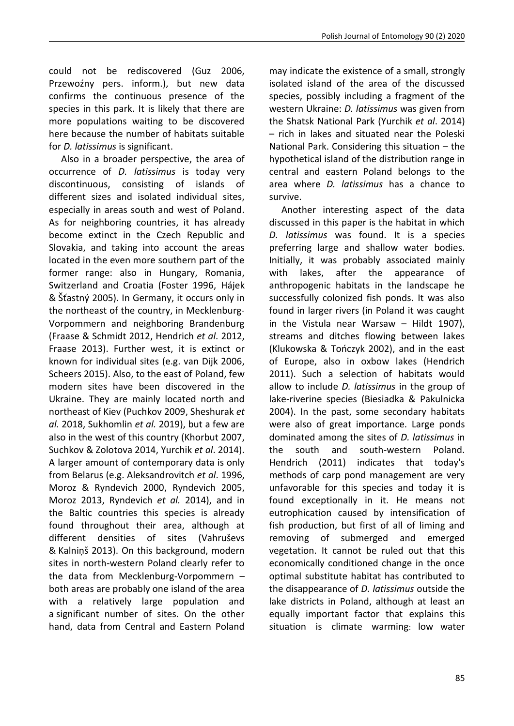could not be rediscovered (Guz 2006, Przewoźny pers. inform.), but new data confirms the continuous presence of the species in this park. It is likely that there are more populations waiting to be discovered here because the number of habitats suitable for *D. latissimus* is significant.

Also in a broader perspective, the area of occurrence of *D. latissimus* is today very discontinuous, consisting of islands of different sizes and isolated individual sites, especially in areas south and west of Poland. As for neighboring countries, it has already become extinct in the Czech Republic and Slovakia, and taking into account the areas located in the even more southern part of the former range: also in Hungary, Romania, Switzerland and Croatia (Foster 1996, Hájek & Šťastný 2005). In Germany, it occurs only in the northeast of the country, in Mecklenburg-Vorpommern and neighboring Brandenburg (Fraase & Schmidt 2012, Hendrich *et al*. 2012, Fraase 2013). Further west, it is extinct or known for individual sites (e.g. van Dijk 2006, Scheers 2015). Also, to the east of Poland, few modern sites have been discovered in the Ukraine. They are mainly located north and northeast of Kiev (Puchkov 2009, Sheshurak *et al.* 2018, Sukhomlin *et al.* 2019), but a few are also in the west of this country (Khorbut 2007, Suchkov & Zolotova 2014, Yurchik *et al*. 2014). A larger amount of contemporary data is only from Belarus (e.g. Aleksandrovitch *et al*. 1996, Moroz & Ryndevich 2000, Ryndevich 2005, Moroz 2013, Ryndevich *et al.* 2014), and in the Baltic countries this species is already found throughout their area, although at different densities of sites (Vahruševs & Kalniņš 2013). On this background, modern sites in north-western Poland clearly refer to the data from Mecklenburg-Vorpommern – both areas are probably one island of the area with a relatively large population and a significant number of sites. On the other hand, data from Central and Eastern Poland may indicate the existence of a small, strongly isolated island of the area of the discussed species, possibly including a fragment of the western Ukraine: *D. latissimus* was given from the Shatsk National Park (Yurchik *et al*. 2014) – rich in lakes and situated near the Poleski National Park. Considering this situation – the hypothetical island of the distribution range in central and eastern Poland belongs to the area where *D. latissimus* has a chance to survive.

Another interesting aspect of the data discussed in this paper is the habitat in which *D. latissimus* was found. It is a species preferring large and shallow water bodies. Initially, it was probably associated mainly with lakes, after the appearance of anthropogenic habitats in the landscape he successfully colonized fish ponds. It was also found in larger rivers (in Poland it was caught in the Vistula near Warsaw – Hildt 1907), streams and ditches flowing between lakes (Klukowska & Tończyk 2002), and in the east of Europe, also in oxbow lakes (Hendrich 2011). Such a selection of habitats would allow to include *D. latissimus* in the group of lake-riverine species (Biesiadka & Pakulnicka 2004). In the past, some secondary habitats were also of great importance. Large ponds dominated among the sites of *D. latissimus* in the south and south-western Poland. Hendrich (2011) indicates that today's methods of carp pond management are very unfavorable for this species and today it is found exceptionally in it. He means not eutrophication caused by intensification of fish production, but first of all of liming and removing of submerged and emerged vegetation. It cannot be ruled out that this economically conditioned change in the once optimal substitute habitat has contributed to the disappearance of *D. latissimus* outside the lake districts in Poland, although at least an equally important factor that explains this situation is climate warming: low water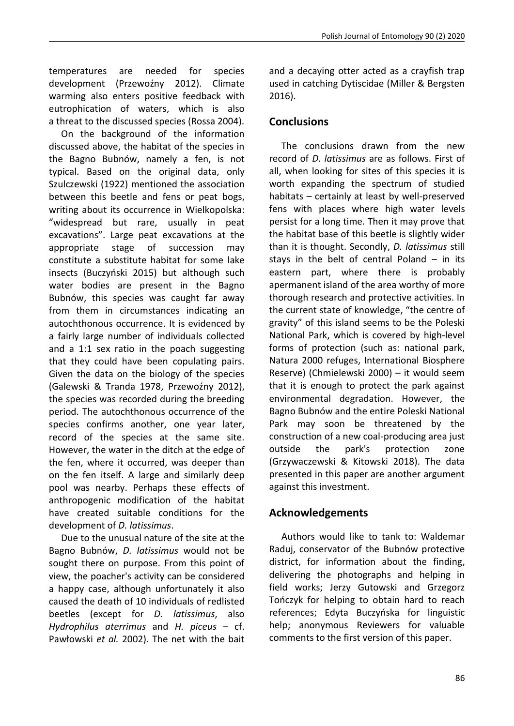temperatures are needed for species development (Przewoźny 2012). Climate warming also enters positive feedback with eutrophication of waters, which is also a threat to the discussed species (Rossa 2004).

On the background of the information discussed above, the habitat of the species in the Bagno Bubnów, namely a fen, is not typical. Based on the original data, only Szulczewski (1922) mentioned the association between this beetle and fens or peat bogs, writing about its occurrence in Wielkopolska: "widespread but rare, usually in peat excavations". Large peat excavations at the appropriate stage of succession may constitute a substitute habitat for some lake insects (Buczyński 2015) but although such water bodies are present in the Bagno Bubnów, this species was caught far away from them in circumstances indicating an autochthonous occurrence. It is evidenced by a fairly large number of individuals collected and a 1:1 sex ratio in the poach suggesting that they could have been copulating pairs. Given the data on the biology of the species (Galewski & Tranda 1978, Przewoźny 2012), the species was recorded during the breeding period. The autochthonous occurrence of the species confirms another, one year later, record of the species at the same site. However, the water in the ditch at the edge of the fen, where it occurred, was deeper than on the fen itself. A large and similarly deep pool was nearby. Perhaps these effects of anthropogenic modification of the habitat have created suitable conditions for the development of *D. latissimus*.

Due to the unusual nature of the site at the Bagno Bubnów, *D. latissimus* would not be sought there on purpose. From this point of view, the poacher's activity can be considered a happy case, although unfortunately it also caused the death of 10 individuals of redlisted beetles (except for *D. latissimus*, also *Hydrophilus aterrimus* and *H. piceus* – cf. Pawłowski *et al.* 2002). The net with the bait and a decaying otter acted as a crayfish trap used in catching Dytiscidae (Miller & Bergsten 2016).

## **Conclusions**

The conclusions drawn from the new record of *D. latissimus* are as follows. First of all, when looking for sites of this species it is worth expanding the spectrum of studied habitats – certainly at least by well-preserved fens with places where high water levels persist for a long time. Then it may prove that the habitat base of this beetle is slightly wider than it is thought. Secondly, *D. latissimus* still stays in the belt of central Poland  $-$  in its eastern part, where there is probably apermanent island of the area worthy of more thorough research and protective activities. In the current state of knowledge, "the centre of gravity" of this island seems to be the Poleski National Park, which is covered by high-level forms of protection (such as: national park, Natura 2000 refuges, International Biosphere Reserve) (Chmielewski 2000) – it would seem that it is enough to protect the park against environmental degradation. However, the Bagno Bubnów and the entire Poleski National Park may soon be threatened by the construction of a new coal-producing area just outside the park's protection zone (Grzywaczewski & Kitowski 2018). The data presented in this paper are another argument against this investment.

## **Acknowledgements**

Authors would like to tank to: Waldemar Raduj, conservator of the Bubnów protective district, for information about the finding, delivering the photographs and helping in field works; Jerzy Gutowski and Grzegorz Tończyk for helping to obtain hard to reach references; Edyta Buczyńska for linguistic help; anonymous Reviewers for valuable comments to the first version of this paper.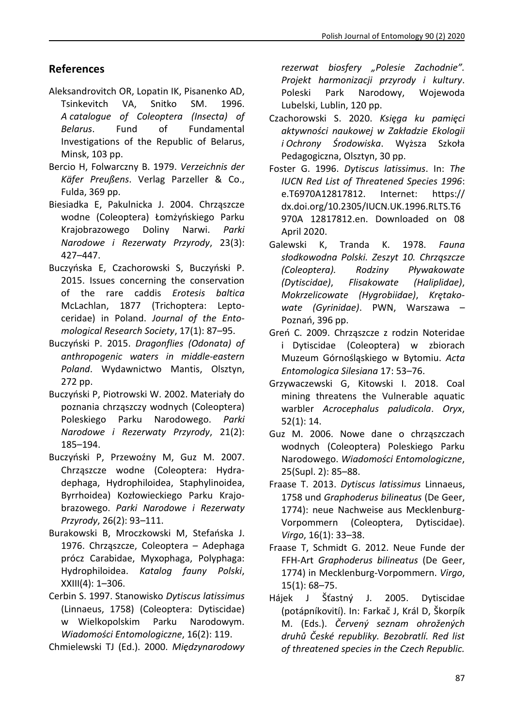# **References**

- Aleksandrovitch OR, Lopatin IK, Pisanenko AD, Tsinkevitch VA, Snitko SM. 1996. *A catalogue of Coleoptera (Insecta) of Belarus*. Fund of Fundamental Investigations of the Republic of Belarus, Minsk, 103 pp.
- Bercio H, Folwarczny B. 1979. *Verzeichnis der Käfer Preußens*. Verlag Parzeller & Co., Fulda, 369 pp.
- Biesiadka E, Pakulnicka J. 2004. Chrząszcze wodne (Coleoptera) Łomżyńskiego Parku Krajobrazowego Doliny Narwi. *Parki Narodowe i Rezerwaty Przyrody*, 23(3): 427–447.
- Buczyńska E, Czachorowski S, Buczyński P. 2015. Issues concerning the conservation of the rare caddis *Erotesis baltica* McLachlan, 1877 (Trichoptera: Leptoceridae) in Poland. *Journal of the Entomological Research Society*, 17(1): 87–95.
- Buczyński P. 2015. *Dragonflies (Odonata) of anthropogenic waters in middle-eastern Poland*. Wydawnictwo Mantis, Olsztyn, 272 pp.
- Buczyński P, Piotrowski W. 2002. Materiały do poznania chrząszczy wodnych (Coleoptera) Poleskiego Parku Narodowego. *Parki Narodowe i Rezerwaty Przyrody*, 21(2): 185–194.
- Buczyński P, Przewoźny M, Guz M. 2007. Chrząszcze wodne (Coleoptera: Hydradephaga, Hydrophiloidea, Staphylinoidea, Byrrhoidea) Kozłowieckiego Parku Krajobrazowego. *Parki Narodowe i Rezerwaty Przyrody*, 26(2): 93–111.
- Burakowski B, Mroczkowski M, Stefańska J. 1976. Chrząszcze, Coleoptera – Adephaga prócz Carabidae, Myxophaga, Polyphaga: Hydrophiloidea. *Katalog fauny Polski*, XXIII(4): 1–306.
- Cerbin S. 1997. Stanowisko *Dytiscus latissimus* (Linnaeus, 1758) (Coleoptera: Dytiscidae) w Wielkopolskim Parku Narodowym. *Wiadomości Entomologiczne*, 16(2): 119.

Chmielewski TJ (Ed.). 2000. *Międzynarodowy* 

*rezerwat biosfery "Polesie Zachodnie". Projekt harmonizacji przyrody i kultury*. Poleski Park Narodowy, Wojewoda Lubelski, Lublin, 120 pp.

- Czachorowski S. 2020. *Księga ku pamięci aktywności naukowej w Zakładzie Ekologii i Ochrony Środowiska*. Wyższa Szkoła Pedagogiczna, Olsztyn, 30 pp.
- Foster G. 1996. *Dytiscus latissimus*. In: *The IUCN Red List of Threatened Species 1996*: e.T6970A12817812. Internet: https:// dx.doi.org/10.2305/IUCN.UK.1996.RLTS.T6 970A 12817812.en. Downloaded on 08 April 2020.
- Galewski K, Tranda K. 1978. *Fauna słodkowodna Polski. Zeszyt 10. Chrząszcze (Coleoptera). Rodziny Pływakowate (Dytiscidae)*, *Flisakowate (Haliplidae)*, *Mokrzelicowate (Hygrobiidae)*, *Krętakowate (Gyrinidae)*. PWN, Warszawa – Poznań, 396 pp.
- Greń C. 2009. Chrząszcze z rodzin Noteridae i Dytiscidae (Coleoptera) w zbiorach Muzeum Górnośląskiego w Bytomiu. *Acta Entomologica Silesiana* 17: 53–76.
- Grzywaczewski G, Kitowski I. 2018. Coal mining threatens the Vulnerable aquatic warbler *Acrocephalus paludicola*. *Oryx*, 52(1): 14.
- Guz M. 2006. Nowe dane o chrząszczach wodnych (Coleoptera) Poleskiego Parku Narodowego. *Wiadomości Entomologiczne*, 25(Supl. 2): 85–88.
- Fraase T. 2013. *Dytiscus latissimus* Linnaeus, 1758 und *Graphoderus bilineatus* (De Geer, 1774): neue Nachweise aus Mecklenburg-Vorpommern (Coleoptera, Dytiscidae). *Virgo*, 16(1): 33–38.
- Fraase T, Schmidt G. 2012. Neue Funde der FFH-Art *Graphoderus bilineatus* (De Geer, 1774) in Mecklenburg-Vorpommern. *Virgo*, 15(1): 68–75.
- Hájek J Šťastný J. 2005. Dytiscidae (potápníkovití). In: Farkač J, Král D, Škorpík M. (Eds.). *Červený seznam ohrožených druhů České republiky. Bezobratlí. Red list of threatened species in the Czech Republic.*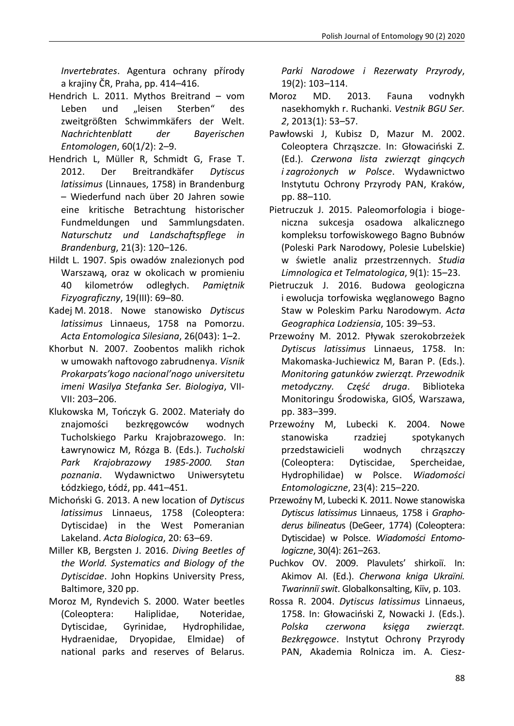*Invertebrates*. Agentura ochrany přírody a krajiny ČR, Praha, pp. 414–416.

- Hendrich L. 2011. Mythos Breitrand vom Leben und "leisen Sterben" des zweitgrößten Schwimmkäfers der Welt. *Nachrichtenblatt der Bayerischen Entomologen*, 60(1/2): 2–9.
- Hendrich L, Müller R, Schmidt G, Frase T. 2012. Der Breitrandkäfer *Dytiscus latissimus* (Linnaues, 1758) in Brandenburg – Wiederfund nach über 20 Jahren sowie eine kritische Betrachtung historischer Fundmeldungen und Sammlungsdaten. *Naturschutz und Landschaftspflege in Brandenburg*, 21(3): 120–126.
- Hildt L. 1907. Spis owadów znalezionych pod Warszawą, oraz w okolicach w promieniu 40 kilometrów odległych. *Pamiętnik Fizyograficzny*, 19(III): 69–80.
- Kadej M. 2018. Nowe stanowisko *Dytiscus latissimus* Linnaeus, 1758 na Pomorzu. *Acta Entomologica Silesiana*, 26(043): 1–2.
- Khorbut N. 2007. Zoobentos malikh richok w umowakh naftovogo zabrudnenya. *Visnik Prokarpats'kogo nacional'nogo universitetu imeni Wasilya Stefanka Ser. Biologiya*, VII-VII: 203–206.
- Klukowska M, Tończyk G. 2002. Materiały do znajomości bezkręgowców wodnych Tucholskiego Parku Krajobrazowego. In: Ławrynowicz M, Rózga B. (Eds.). *Tucholski Park Krajobrazowy 1985-2000. Stan poznania*. Wydawnictwo Uniwersytetu Łódzkiego, Łódź, pp. 441–451.
- Michoński G. 2013. A new location of *Dytiscus latissimus* Linnaeus, 1758 (Coleoptera: Dytiscidae) in the West Pomeranian Lakeland. *Acta Biologica*, 20: 63–69.
- Miller KB, Bergsten J. 2016. *Diving Beetles of the World. Systematics and Biology of the Dytiscidae*. John Hopkins University Press, Baltimore, 320 pp.
- Moroz M, Ryndevich S. 2000. Water beetles (Coleoptera: Haliplidae, Noteridae, Dytiscidae, Gyrinidae, Hydrophilidae, Hydraenidae, Dryopidae, Elmidae) of national parks and reserves of Belarus.

*Parki Narodowe i Rezerwaty Przyrody*, 19(2): 103–114.

- Moroz MD. 2013. Fauna vodnykh nasekhomykh r. Ruchanki. *Vestnik BGU Ser. 2*, 2013(1): 53–57.
- Pawłowski J, Kubisz D, Mazur M. 2002. Coleoptera Chrząszcze. In: Głowaciński Z. (Ed.). *Czerwona lista zwierząt ginących i zagrożonych w Polsce*. Wydawnictwo Instytutu Ochrony Przyrody PAN, Kraków, pp. 88–110.
- Pietruczuk J. 2015. Paleomorfologia i biogeniczna sukcesja osadowa alkalicznego kompleksu torfowiskowego Bagno Bubnów (Poleski Park Narodowy, Polesie Lubelskie) w świetle analiz przestrzennych. *Studia Limnologica et Telmatologica*, 9(1): 15–23.
- Pietruczuk J. 2016. Budowa geologiczna i ewolucja torfowiska węglanowego Bagno Staw w Poleskim Parku Narodowym. *Acta Geographica Lodziensia*, 105: 39–53.
- Przewoźny M. 2012. Pływak szerokobrzeżek *Dytiscus latissimus* Linnaeus, 1758. In: Makomaska-Juchiewicz M, Baran P. (Eds.). *Monitoring gatunków zwierząt. Przewodnik metodyczny. Część druga*. Biblioteka Monitoringu Środowiska, GIOŚ, Warszawa, pp. 383–399.
- Przewoźny M, Lubecki K. 2004. Nowe stanowiska rzadziej spotykanych przedstawicieli wodnych chrząszczy (Coleoptera: Dytiscidae, Spercheidae, Hydrophilidae) w Polsce. *Wiadomości Entomologiczne*, 23(4): 215–220.
- Przewoźny M, Lubecki K. 2011. Nowe stanowiska *Dytiscus latissimus* Linnaeus, 1758 i *Graphoderus bilineatu*s (DeGeer, 1774) (Coleoptera: Dytiscidae) w Polsce. *Wiadomości Entomologiczne*, 30(4): 261–263.
- Puchkov OV. 2009. Plavulets' shirkoiï. In: Akimov AI. (Ed.). *Cherwona kniga Ukraïni. Twarinniï swit*. Globalkonsalting, Kiïv, p. 103.
- Rossa R. 2004. *Dytiscus latissimus* Linnaeus, 1758. In: Głowaciński Z, Nowacki J. (Eds.). *Polska czerwona księga zwierząt. Bezkręgowce*. Instytut Ochrony Przyrody PAN, Akademia Rolnicza im. A. Ciesz-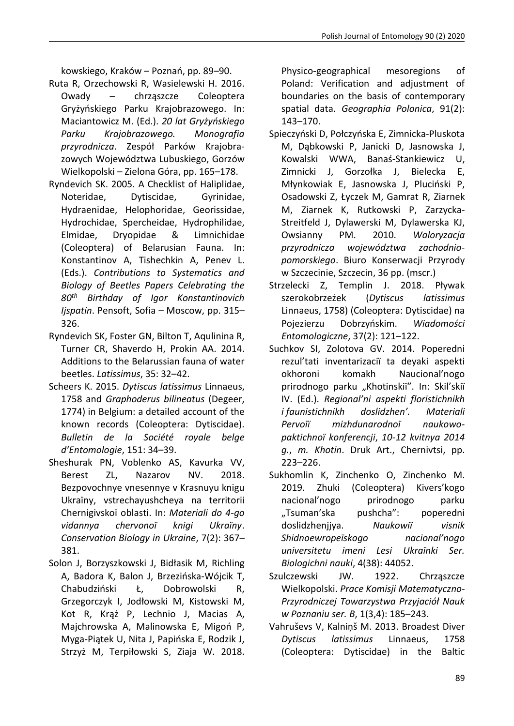kowskiego, Kraków – Poznań, pp. 89–90.

- Ruta R, Orzechowski R, Wasielewski H. 2016. Owady – chrząszcze Coleoptera Gryżyńskiego Parku Krajobrazowego. In: Maciantowicz M. (Ed.). *20 lat Gryżyńskiego Parku Krajobrazowego. Monografia przyrodnicza*. Zespół Parków Krajobrazowych Województwa Lubuskiego, Gorzów Wielkopolski – Zielona Góra, pp. 165–178.
- Ryndevich SK. 2005. A Checklist of Haliplidae, Noteridae, Dytiscidae, Gyrinidae, Hydraenidae, Helophoridae, Georissidae, Hydrochidae, Spercheidae, Hydrophilidae, Elmidae, Dryopidae & Limnichidae (Coleoptera) of Belarusian Fauna. In: Konstantinov A, Tishechkin A, Penev L. (Eds.). *Contributions to Systematics and Biology of Beetles Papers Celebrating the 80th Birthday of Igor Konstantinovich Ijspatin*. Pensoft, Sofia – Moscow, pp. 315– 326.
- Ryndevich SK, Foster GN, Bilton T, Aqulinina R, Turner CR, Shaverdo H, Prokin AA. 2014. Additions to the Belarussian fauna of water beetles. *Latissimus*, 35: 32–42.
- Scheers K. 2015. *Dytiscus latissimus* Linnaeus, 1758 and *Graphoderus bilineatus* (Degeer, 1774) in Belgium: a detailed account of the known records (Coleoptera: Dytiscidae). *Bulletin de la Société royale belge d'Entomologie*, 151: 34–39.
- Sheshurak PN, Voblenko AS, Kavurka VV, Berest ZL, Nazarov NV. 2018. Bezpovochnye vnesennye v Krasnuyu knigu Ukraïny, vstrechayushcheya na territorii Chernigivskoï oblasti. In: *Materiali do 4-go vidannya chervonoï knigi Ukraïny*. *Conservation Biology in Ukraine*, 7(2): 367– 381.
- Solon J, Borzyszkowski J, Bidłasik M, Richling A, Badora K, Balon J, Brzezińska-Wójcik T, Chabudziński Ł, Dobrowolski R, Grzegorczyk I, Jodłowski M, Kistowski M, Kot R, Krąż P, Lechnio J, Macias A, Majchrowska A, Malinowska E, Migoń P, Myga-Piątek U, Nita J, Papińska E, Rodzik J, Strzyż M, Terpiłowski S, Ziaja W. 2018.

Physico-geographical mesoregions of Poland: Verification and adjustment of boundaries on the basis of contemporary spatial data. *Geographia Polonica*, 91(2): 143–170.

- Spieczyński D, Połczyńska E, Zimnicka-Pluskota M, Dąbkowski P, Janicki D, Jasnowska J, Kowalski WWA, Banaś-Stankiewicz U, Zimnicki J, Gorzołka J, Bielecka E, Młynkowiak E, Jasnowska J, Pluciński P, Osadowski Z, Łyczek M, Gamrat R, Ziarnek M, Ziarnek K, Rutkowski P, Zarzycka-Streitfeld J, Dylawerski M, Dylawerska KJ, Owsianny PM. 2010. *Waloryzacja przyrodnicza województwa zachodniopomorskiego*. Biuro Konserwacji Przyrody w Szczecinie, Szczecin, 36 pp. (mscr.)
- Strzelecki Z, Templin J. 2018. Pływak szerokobrzeżek (*Dytiscus latissimus* Linnaeus, 1758) (Coleoptera: Dytiscidae) na Pojezierzu Dobrzyńskim. *Wiadomości Entomologiczne*, 37(2): 121–122.
- Suchkov SI, Zolotova GV. 2014. Poperedni rezul'tati inventarizaciï ta deyaki aspekti okhoroni komakh Naucional'nogo prirodnogo parku "Khotinskiï". In: Skil'skiï IV. (Ed.). *Regional'ni aspekti floristichnikh i faunistichnikh doslidzhen'. Materiali Pervoïï mizhdunarodnoï naukowopaktichnoï konferencji*, *10-12 kvitnya 2014 g.*, *m. Khotin*. Druk Art., Chernivtsi, pp. 223–226.
- Sukhomlin K, Zinchenko O, Zinchenko M. 2019. Zhuki (Coleoptera) Kivers'kogo nacional'nogo prirodnogo parku "Tsuman'ska pushcha": poperedni doslidzhenjjya. *Naukowiï visnik Shidnoewropeïskogo nacional'nogo universitetu imeni Lesi Ukraïnki Ser. Biologichni nauki*, 4(38): 44052.
- Szulczewski JW. 1922. Chrząszcze Wielkopolski. *Prace Komisji Matematyczno-Przyrodniczej Towarzystwa Przyjaciół Nauk w Poznaniu ser. B*, 1(3,4): 185–243.
- Vahruševs V, Kalniņš M. 2013. Broadest Diver *Dytiscus latissimus* Linnaeus, 1758 (Coleoptera: Dytiscidae) in the Baltic